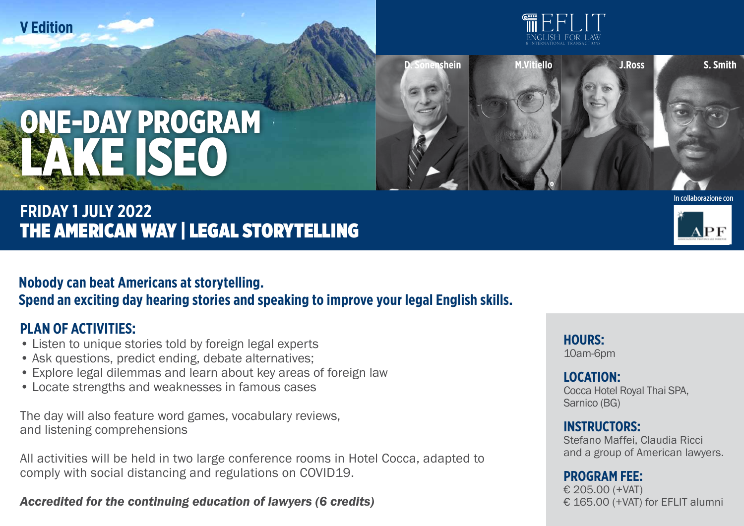



# **NE-DAY PROGRAM** LAKE ISEO

## **FRIDAY 1 july 2022** THE AMERICAN WAY | LEGAL STORYTELLING

### **Nobody can beat Americans at storytelling. Spend an exciting day hearing stories and speaking to improve your legal English skills.**

#### **PLAN OF ACTIVITIES:**

- Listen to unique stories told by foreign legal experts
- Ask questions, predict ending, debate alternatives;
- Explore legal dilemmas and learn about key areas of foreign law
- Locate strengths and weaknesses in famous cases

The day will also feature word games, vocabulary reviews, and listening comprehensions

All activities will be held in two large conference rooms in Hotel Cocca, adapted to comply with social distancing and regulations on COVID19.

#### *Accredited for the continuing education of lawyers (6 credits)*





**hours:**  10am-6pm

#### **LOCATION:**  Cocca Hotel Royal Thai SPA,

Sarnico (BG)

#### **Instructors:**

Stefano Maffei, Claudia Ricci and a group of American lawyers.

#### **Program fee:**

€ 205.00 (+VAT) € 165.00 (+VAT) for EFLIT alumni